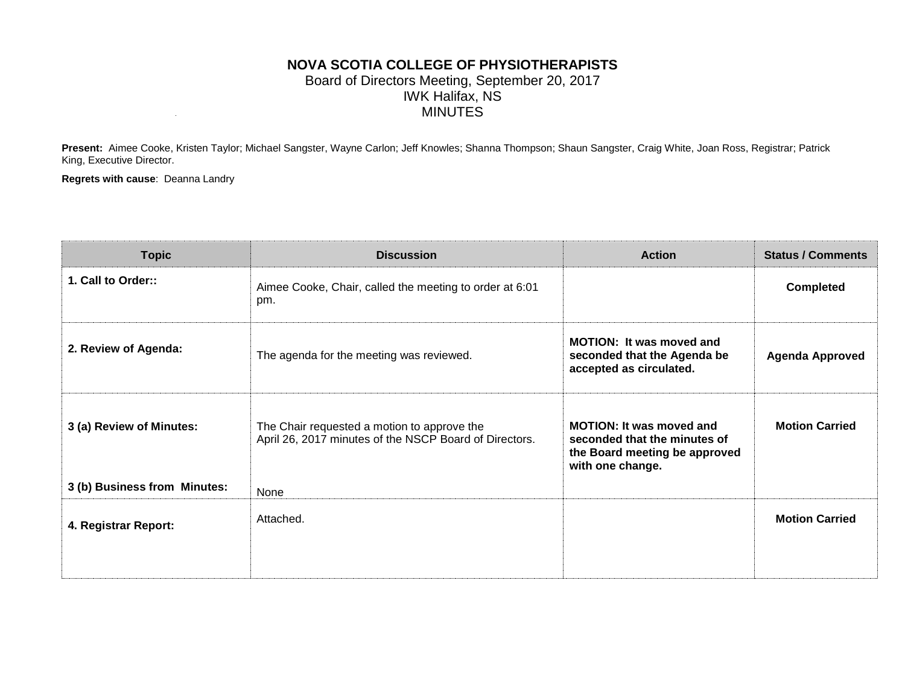### **NOVA SCOTIA COLLEGE OF PHYSIOTHERAPISTS** Board of Directors Meeting, September 20, 2017 IWK Halifax, NS MINUTES

**Present:** Aimee Cooke, Kristen Taylor; Michael Sangster, Wayne Carlon; Jeff Knowles; Shanna Thompson; Shaun Sangster, Craig White, Joan Ross, Registrar; Patrick King, Executive Director.

**Regrets with cause**: Deanna Landry

| <b>Topic</b>                 | <b>Discussion</b>                                                                                     | <b>Action</b>                                                                                                        | <b>Status / Comments</b> |
|------------------------------|-------------------------------------------------------------------------------------------------------|----------------------------------------------------------------------------------------------------------------------|--------------------------|
| 1. Call to Order::           | Aimee Cooke, Chair, called the meeting to order at 6:01<br>pm.                                        |                                                                                                                      | <b>Completed</b>         |
| 2. Review of Agenda:         | The agenda for the meeting was reviewed.                                                              | <b>MOTION: It was moved and</b><br>seconded that the Agenda be<br>accepted as circulated.                            | <b>Agenda Approved</b>   |
| 3 (a) Review of Minutes:     | The Chair requested a motion to approve the<br>April 26, 2017 minutes of the NSCP Board of Directors. | <b>MOTION: It was moved and</b><br>seconded that the minutes of<br>the Board meeting be approved<br>with one change. | <b>Motion Carried</b>    |
| 3 (b) Business from Minutes: | None                                                                                                  |                                                                                                                      |                          |
| 4. Registrar Report:         | Attached.                                                                                             |                                                                                                                      | <b>Motion Carried</b>    |
|                              |                                                                                                       |                                                                                                                      |                          |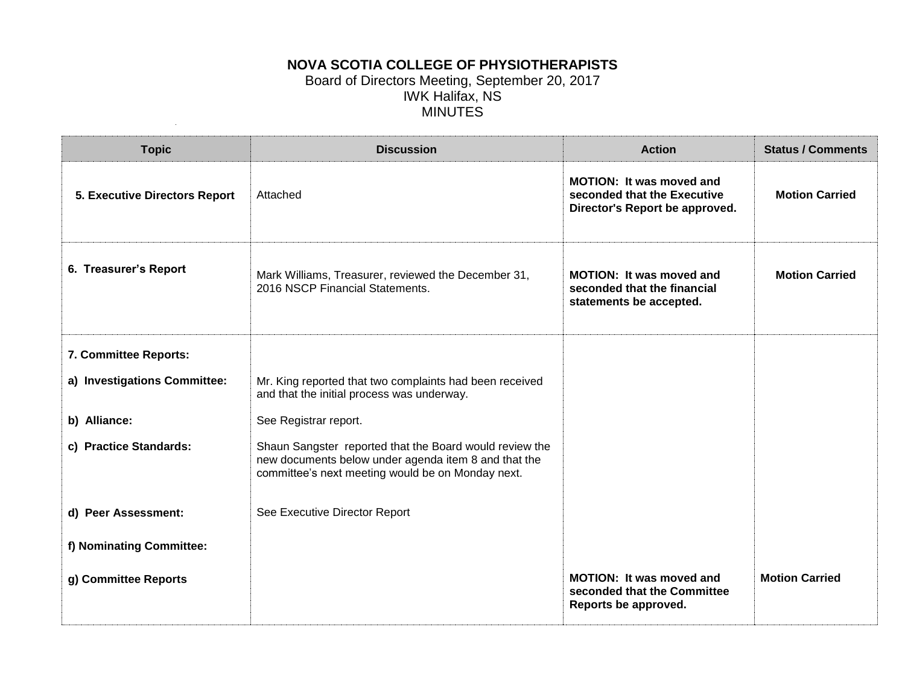## **NOVA SCOTIA COLLEGE OF PHYSIOTHERAPISTS** Board of Directors Meeting, September 20, 2017 IWK Halifax, NS MINUTES

| <b>Topic</b>                         | <b>Discussion</b>                                                                                                                                                    | <b>Action</b>                                                                                    | <b>Status / Comments</b> |
|--------------------------------------|----------------------------------------------------------------------------------------------------------------------------------------------------------------------|--------------------------------------------------------------------------------------------------|--------------------------|
| <b>5. Executive Directors Report</b> | Attached                                                                                                                                                             | <b>MOTION: It was moved and</b><br>seconded that the Executive<br>Director's Report be approved. | <b>Motion Carried</b>    |
| 6. Treasurer's Report                | Mark Williams, Treasurer, reviewed the December 31,<br>2016 NSCP Financial Statements.                                                                               | <b>MOTION: It was moved and</b><br>seconded that the financial<br>statements be accepted.        | <b>Motion Carried</b>    |
| 7. Committee Reports:                |                                                                                                                                                                      |                                                                                                  |                          |
| a) Investigations Committee:         | Mr. King reported that two complaints had been received<br>and that the initial process was underway.                                                                |                                                                                                  |                          |
| b) Alliance:                         | See Registrar report.                                                                                                                                                |                                                                                                  |                          |
| c) Practice Standards:               | Shaun Sangster reported that the Board would review the<br>new documents below under agenda item 8 and that the<br>committee's next meeting would be on Monday next. |                                                                                                  |                          |
| d) Peer Assessment:                  | See Executive Director Report                                                                                                                                        |                                                                                                  |                          |
| f) Nominating Committee:             |                                                                                                                                                                      |                                                                                                  |                          |
| g) Committee Reports                 |                                                                                                                                                                      | <b>MOTION: It was moved and</b><br>seconded that the Committee<br>Reports be approved.           | <b>Motion Carried</b>    |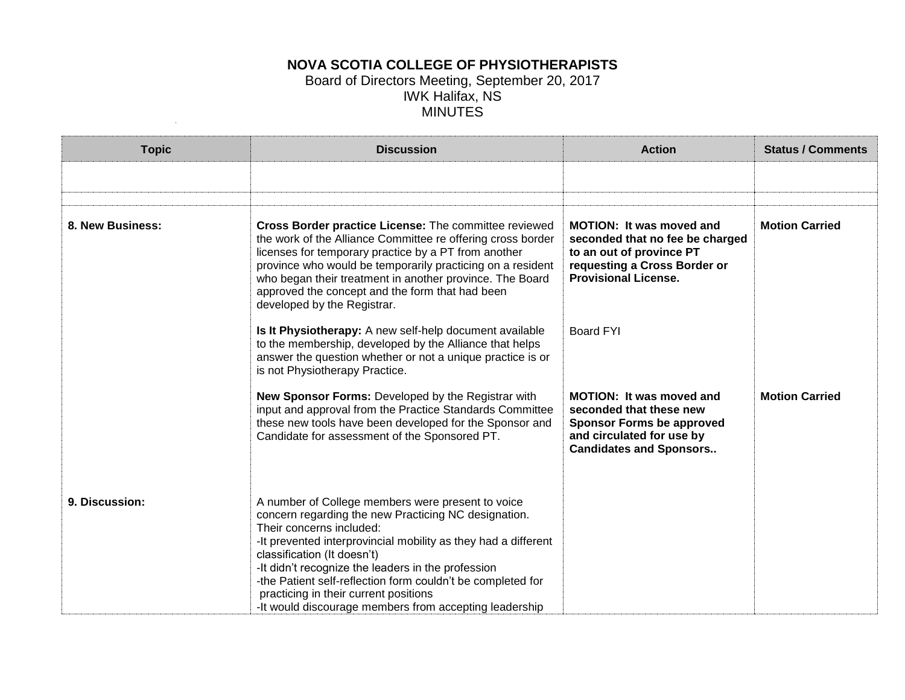## **NOVA SCOTIA COLLEGE OF PHYSIOTHERAPISTS** Board of Directors Meeting, September 20, 2017 IWK Halifax, NS MINUTES

| <b>Topic</b>     | <b>Discussion</b>                                                                                                                                                                                                                                                                                                                                                                                                                                              | <b>Action</b>                                                                                                                                                 | <b>Status / Comments</b> |
|------------------|----------------------------------------------------------------------------------------------------------------------------------------------------------------------------------------------------------------------------------------------------------------------------------------------------------------------------------------------------------------------------------------------------------------------------------------------------------------|---------------------------------------------------------------------------------------------------------------------------------------------------------------|--------------------------|
|                  |                                                                                                                                                                                                                                                                                                                                                                                                                                                                |                                                                                                                                                               |                          |
|                  |                                                                                                                                                                                                                                                                                                                                                                                                                                                                |                                                                                                                                                               |                          |
| 8. New Business: | Cross Border practice License: The committee reviewed<br>the work of the Alliance Committee re offering cross border<br>licenses for temporary practice by a PT from another<br>province who would be temporarily practicing on a resident<br>who began their treatment in another province. The Board<br>approved the concept and the form that had been<br>developed by the Registrar.                                                                       | <b>MOTION: It was moved and</b><br>seconded that no fee be charged<br>to an out of province PT<br>requesting a Cross Border or<br><b>Provisional License.</b> | <b>Motion Carried</b>    |
|                  | Is It Physiotherapy: A new self-help document available<br>to the membership, developed by the Alliance that helps<br>answer the question whether or not a unique practice is or<br>is not Physiotherapy Practice.                                                                                                                                                                                                                                             | <b>Board FYI</b>                                                                                                                                              |                          |
|                  | New Sponsor Forms: Developed by the Registrar with<br>input and approval from the Practice Standards Committee<br>these new tools have been developed for the Sponsor and<br>Candidate for assessment of the Sponsored PT.                                                                                                                                                                                                                                     | <b>MOTION: It was moved and</b><br>seconded that these new<br><b>Sponsor Forms be approved</b><br>and circulated for use by<br><b>Candidates and Sponsors</b> | <b>Motion Carried</b>    |
| 9. Discussion:   | A number of College members were present to voice<br>concern regarding the new Practicing NC designation.<br>Their concerns included:<br>-It prevented interprovincial mobility as they had a different<br>classification (It doesn't)<br>-It didn't recognize the leaders in the profession<br>-the Patient self-reflection form couldn't be completed for<br>practicing in their current positions<br>-It would discourage members from accepting leadership |                                                                                                                                                               |                          |